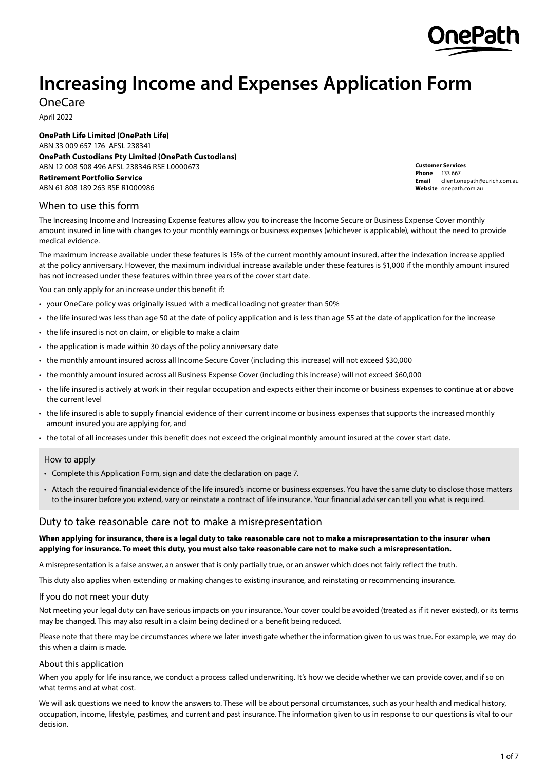

# **Increasing Income and Expenses Application Form**

OneCare

April 2022

**OnePath Life Limited (OnePath Life)** ABN 33 009 657 176 AFSL 238341 **OnePath Custodians Pty Limited (OnePath Custodians)** ABN 12 008 508 496 AFSL 238346 RSE L0000673 **Retirement Portfolio Service** ABN 61 808 189 263 RSE R1000986

**Customer Services Phone** 133 667 **Email** client.onepath@zurich.com.au **Website** [onepath.com.au](http://onepath.com.au)

## When to use this form

The Increasing Income and Increasing Expense features allow you to increase the Income Secure or Business Expense Cover monthly amount insured in line with changes to your monthly earnings or business expenses (whichever is applicable), without the need to provide medical evidence.

The maximum increase available under these features is 15% of the current monthly amount insured, after the indexation increase applied at the policy anniversary. However, the maximum individual increase available under these features is \$1,000 if the monthly amount insured has not increased under these features within three years of the cover start date.

You can only apply for an increase under this benefit if:

- your OneCare policy was originally issued with a medical loading not greater than 50%
- the life insured was less than age 50 at the date of policy application and is less than age 55 at the date of application for the increase
- the life insured is not on claim, or eligible to make a claim
- the application is made within 30 days of the policy anniversary date
- the monthly amount insured across all Income Secure Cover (including this increase) will not exceed \$30,000
- the monthly amount insured across all Business Expense Cover (including this increase) will not exceed \$60,000
- the life insured is actively at work in their regular occupation and expects either their income or business expenses to continue at or above the current level
- the life insured is able to supply financial evidence of their current income or business expenses that supports the increased monthly amount insured you are applying for, and
- the total of all increases under this benefit does not exceed the original monthly amount insured at the cover start date.

#### How to apply

- Complete this Application Form, sign and date the declaration on page 7.
- Attach the required financial evidence of the life insured's income or business expenses. You have the same duty to disclose those matters to the insurer before you extend, vary or reinstate a contract of life insurance. Your financial adviser can tell you what is required.

## Duty to take reasonable care not to make a misrepresentation

#### **When applying for insurance, there is a legal duty to take reasonable care not to make a misrepresentation to the insurer when applying for insurance. To meet this duty, you must also take reasonable care not to make such a misrepresentation.**

A misrepresentation is a false answer, an answer that is only partially true, or an answer which does not fairly reflect the truth.

This duty also applies when extending or making changes to existing insurance, and reinstating or recommencing insurance.

#### If you do not meet your duty

Not meeting your legal duty can have serious impacts on your insurance. Your cover could be avoided (treated as if it never existed), or its terms may be changed. This may also result in a claim being declined or a benefit being reduced.

Please note that there may be circumstances where we later investigate whether the information given to us was true. For example, we may do this when a claim is made.

#### About this application

When you apply for life insurance, we conduct a process called underwriting. It's how we decide whether we can provide cover, and if so on what terms and at what cost.

We will ask questions we need to know the answers to. These will be about personal circumstances, such as your health and medical history, occupation, income, lifestyle, pastimes, and current and past insurance. The information given to us in response to our questions is vital to our decision.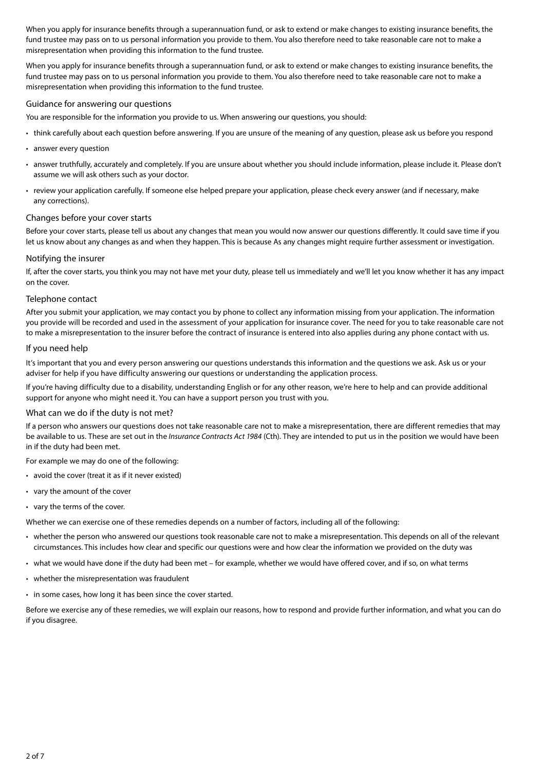When you apply for insurance benefits through a superannuation fund, or ask to extend or make changes to existing insurance benefits, the fund trustee may pass on to us personal information you provide to them. You also therefore need to take reasonable care not to make a misrepresentation when providing this information to the fund trustee.

When you apply for insurance benefits through a superannuation fund, or ask to extend or make changes to existing insurance benefits, the fund trustee may pass on to us personal information you provide to them. You also therefore need to take reasonable care not to make a misrepresentation when providing this information to the fund trustee.

#### Guidance for answering our questions

You are responsible for the information you provide to us. When answering our questions, you should:

- think carefully about each question before answering. If you are unsure of the meaning of any question, please ask us before you respond
- answer every question
- answer truthfully, accurately and completely. If you are unsure about whether you should include information, please include it. Please don't assume we will ask others such as your doctor.
- review your application carefully. If someone else helped prepare your application, please check every answer (and if necessary, make any corrections).

#### Changes before your cover starts

Before your cover starts, please tell us about any changes that mean you would now answer our questions differently. It could save time if you let us know about any changes as and when they happen. This is because As any changes might require further assessment or investigation.

#### Notifying the insurer

If, after the cover starts, you think you may not have met your duty, please tell us immediately and we'll let you know whether it has any impact on the cover.

#### Telephone contact

After you submit your application, we may contact you by phone to collect any information missing from your application. The information you provide will be recorded and used in the assessment of your application for insurance cover. The need for you to take reasonable care not to make a misrepresentation to the insurer before the contract of insurance is entered into also applies during any phone contact with us.

#### If you need help

It's important that you and every person answering our questions understands this information and the questions we ask. Ask us or your adviser for help if you have difficulty answering our questions or understanding the application process.

If you're having difficulty due to a disability, understanding English or for any other reason, we're here to help and can provide additional support for anyone who might need it. You can have a support person you trust with you.

## What can we do if the duty is not met?

If a person who answers our questions does not take reasonable care not to make a misrepresentation, there are different remedies that may be available to us. These are set out in the *Insurance Contracts Act 1984* (Cth). They are intended to put us in the position we would have been in if the duty had been met.

For example we may do one of the following:

- avoid the cover (treat it as if it never existed)
- vary the amount of the cover
- vary the terms of the cover.

Whether we can exercise one of these remedies depends on a number of factors, including all of the following:

- whether the person who answered our questions took reasonable care not to make a misrepresentation. This depends on all of the relevant circumstances. This includes how clear and specific our questions were and how clear the information we provided on the duty was
- what we would have done if the duty had been met for example, whether we would have offered cover, and if so, on what terms
- whether the misrepresentation was fraudulent
- in some cases, how long it has been since the cover started.

Before we exercise any of these remedies, we will explain our reasons, how to respond and provide further information, and what you can do if you disagree.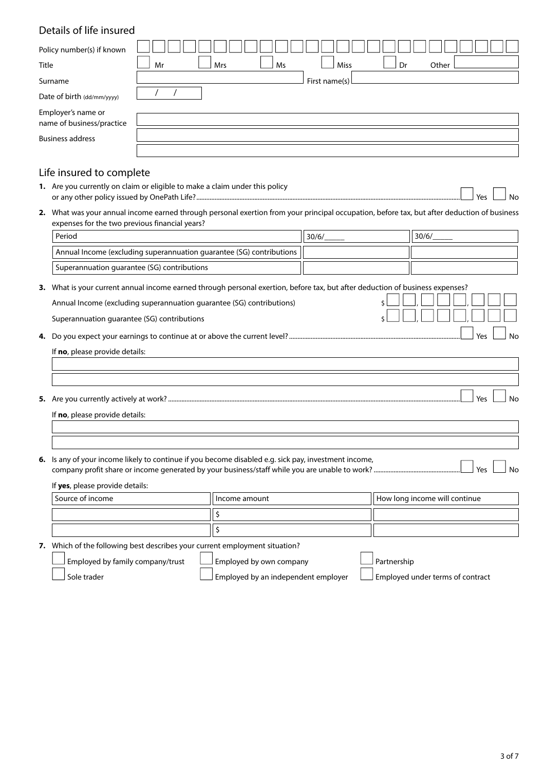# Details of life insured

| Policy number(s) if known                       |                                        |
|-------------------------------------------------|----------------------------------------|
| Title                                           | Other<br>Miss<br>Mr<br>Mrs<br>Ms<br>Dr |
| Surname                                         | First name(s)                          |
| Date of birth (dd/mm/yyyy)                      |                                        |
| Employer's name or<br>name of business/practice |                                        |
| <b>Business address</b>                         |                                        |
|                                                 |                                        |
|                                                 |                                        |

## Life insured to complete

- **1.** Are you currently on claim or eligible to make a claim under this policy or any other policy issued by OnePath Life?.................
- **2.** What was your annual income earned through personal exertion from your principal occupation, before tax, but after deduction of business expenses for the two previous financial years?

| Period                                                               | 30/6 | 30/6 |
|----------------------------------------------------------------------|------|------|
| Annual Income (excluding superannuation guarantee (SG) contributions |      |      |
| Superannuation quarantee (SG) contributions                          |      |      |
|                                                                      |      |      |

**3.** What is your current annual income earned through personal exertion, before tax, but after deduction of business expenses?

| Annual Income (excluding superannuation guarantee (SG) contributions) | $\overline{\mathcal{S}}$ , and a set of the set of $\overline{\mathcal{S}}$<br>mmmmmmmmm |
|-----------------------------------------------------------------------|------------------------------------------------------------------------------------------|
|                                                                       |                                                                                          |

Superannuation guarantee (SG) contributions **SUPER 1998** S

**4.** Do you expect your earnings to continue at or above the current level? .......................................................................................................n Yes n No

| If no, please provide details: |  |
|--------------------------------|--|
|--------------------------------|--|

**5.** Are you currently actively at work? ................................................................................................................................................................................n Yes n No

If **no**, please provide details:

**6.** Is any of your income likely to continue if you become disabled e.g. sick pay, investment income, company profit share or income generated by your business/staff while you are unable to work? ....................................................n Yes n No

If **yes**, please provide details:

| Source of income | l Income amount | How long income will continue |  |  |  |
|------------------|-----------------|-------------------------------|--|--|--|
|                  |                 |                               |  |  |  |
|                  |                 |                               |  |  |  |

**7.** Which of the following best describes your current employment situation?

Employed by family company/trust  $\Box$  Employed by own company  $\Box$  Partnership Sole trader **networks** Employed by an independent employer **notaty Employed under terms of contract**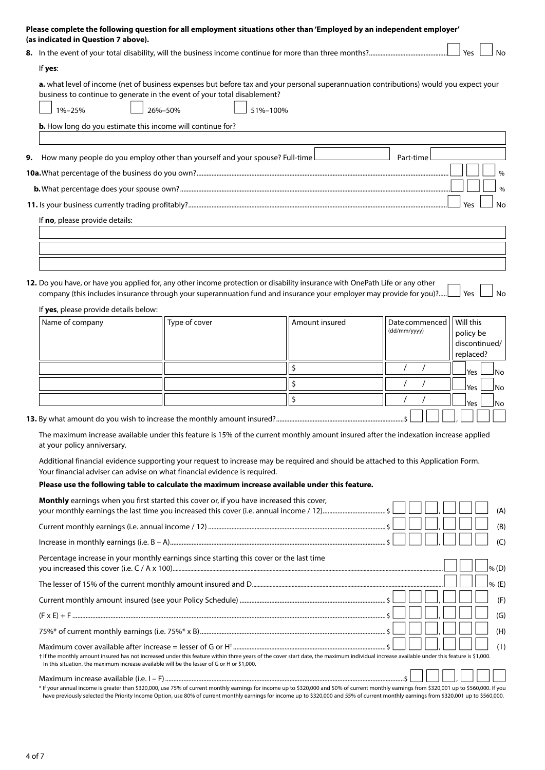|    | Please complete the following question for all employment situations other than 'Employed by an independent employer'<br>(as indicated in Question 7 above).                                                                                        |
|----|-----------------------------------------------------------------------------------------------------------------------------------------------------------------------------------------------------------------------------------------------------|
|    | Yes<br>Nο                                                                                                                                                                                                                                           |
|    | If yes:                                                                                                                                                                                                                                             |
|    | a. what level of income (net of business expenses but before tax and your personal superannuation contributions) would you expect your<br>business to continue to generate in the event of your total disablement?<br>26%-50%<br>51%-100%<br>1%-25% |
|    | <b>b.</b> How long do you estimate this income will continue for?                                                                                                                                                                                   |
|    |                                                                                                                                                                                                                                                     |
| 9. | How many people do you employ other than yourself and your spouse? Full-time<br>Part-time                                                                                                                                                           |
|    |                                                                                                                                                                                                                                                     |
|    | $\frac{0}{0}$                                                                                                                                                                                                                                       |
|    | Yes<br>No                                                                                                                                                                                                                                           |
|    | If no, please provide details:                                                                                                                                                                                                                      |
|    |                                                                                                                                                                                                                                                     |
|    |                                                                                                                                                                                                                                                     |

**12.** Do you have, or have you applied for, any other income protection or disability insurance with OnePath Life or any other company (this includes insurance through your superannuation fund and insurance your employer may provide for you)?.....  $\Box$  Yes  $\Box$  No

| Name of company | Type of cover | Amount insured | Date commenced<br>(dd/mm/yyyy) | Will this<br>policy be<br>discontinued/<br>replaced? |
|-----------------|---------------|----------------|--------------------------------|------------------------------------------------------|
|                 |               |                |                                | <b>Yes</b><br>lNo.                                   |
|                 |               |                |                                | Yes L<br>lNo.                                        |
|                 |               |                |                                | Yes<br>lNo.                                          |
|                 |               |                |                                |                                                      |

**13.** By what amount do you wish to increase the monthly amount insured?.............................................................................\$ n n n , n n n

If **yes**, please provide details below:

The maximum increase available under this feature is 15% of the current monthly amount insured after the indexation increase applied at your policy anniversary.

Additional financial evidence supporting your request to increase may be required and should be attached to this Application Form. Your financial adviser can advise on what financial evidence is required.

#### **Please use the following table to calculate the maximum increase available under this feature.**

| <b>Monthly</b> earnings when you first started this cover or, if you have increased this cover,<br>$\perp$                                                                                                                                                                              | (A)     |
|-----------------------------------------------------------------------------------------------------------------------------------------------------------------------------------------------------------------------------------------------------------------------------------------|---------|
|                                                                                                                                                                                                                                                                                         | (B)     |
| $Increase in monthly earnings (i.e. B - A)\\\\\\$                                                                                                                                                                                                                                       | (C)     |
| Percentage increase in your monthly earnings since starting this cover or the last time                                                                                                                                                                                                 | % (D)   |
|                                                                                                                                                                                                                                                                                         | $%$ (E) |
|                                                                                                                                                                                                                                                                                         | (F)     |
|                                                                                                                                                                                                                                                                                         | (G)     |
|                                                                                                                                                                                                                                                                                         | (H)     |
| t If the monthly amount insured has not increased under this feature within three years of the cover start date, the maximum individual increase available under this feature is \$1,000.<br>In this situation, the maximum increase available will be the lesser of G or H or \$1,000. | (1)     |
| * If your annual income is greater than \$320,000, use 75% of current monthly earnings for income up to \$320,000 and 50% of current monthly earnings from \$320,001 up to \$560,000. If you                                                                                            |         |

have previously selected the Priority Income Option, use 80% of current monthly earnings for income up to \$320,000 and 55% of current monthly earnings from \$320,001 up to \$560,000.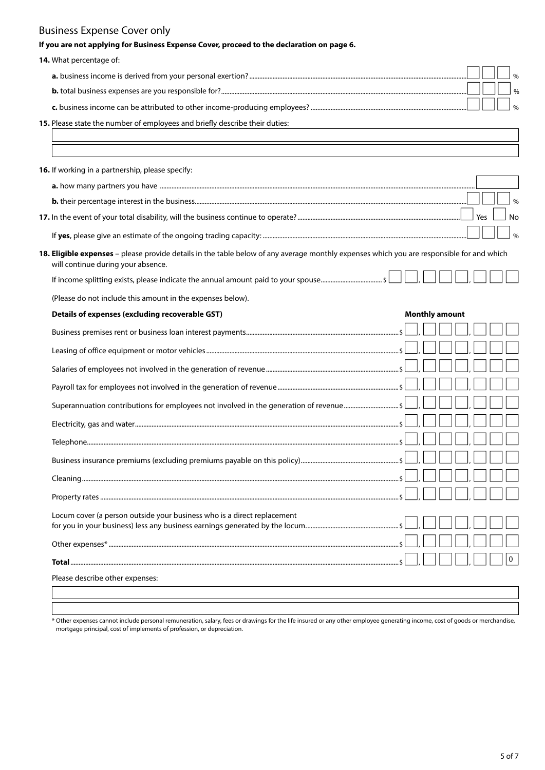# Business Expense Cover only

| If you are not applying for Business Expense Cover, proceed to the declaration on page 6.                                                                                       |  |                       |  |     |               |
|---------------------------------------------------------------------------------------------------------------------------------------------------------------------------------|--|-----------------------|--|-----|---------------|
| 14. What percentage of:                                                                                                                                                         |  |                       |  |     |               |
|                                                                                                                                                                                 |  |                       |  |     | $\frac{0}{0}$ |
|                                                                                                                                                                                 |  |                       |  |     | $\frac{0}{0}$ |
|                                                                                                                                                                                 |  |                       |  |     | $\frac{0}{0}$ |
| 15. Please state the number of employees and briefly describe their duties:                                                                                                     |  |                       |  |     |               |
|                                                                                                                                                                                 |  |                       |  |     |               |
| 16. If working in a partnership, please specify:                                                                                                                                |  |                       |  |     |               |
|                                                                                                                                                                                 |  |                       |  |     |               |
|                                                                                                                                                                                 |  |                       |  |     | $\frac{0}{0}$ |
|                                                                                                                                                                                 |  |                       |  | Yes | No            |
|                                                                                                                                                                                 |  |                       |  |     | $\frac{0}{0}$ |
| 18. Eligible expenses - please provide details in the table below of any average monthly expenses which you are responsible for and which<br>will continue during your absence. |  |                       |  |     |               |
|                                                                                                                                                                                 |  |                       |  |     |               |
| (Please do not include this amount in the expenses below).                                                                                                                      |  |                       |  |     |               |
| Details of expenses (excluding recoverable GST)                                                                                                                                 |  | <b>Monthly amount</b> |  |     |               |
|                                                                                                                                                                                 |  |                       |  |     |               |
|                                                                                                                                                                                 |  |                       |  |     |               |
|                                                                                                                                                                                 |  |                       |  |     |               |
|                                                                                                                                                                                 |  |                       |  |     |               |
| Superannuation contributions for employees not involved in the generation of revenue \$                                                                                         |  |                       |  |     |               |
|                                                                                                                                                                                 |  |                       |  |     |               |
|                                                                                                                                                                                 |  |                       |  |     |               |
|                                                                                                                                                                                 |  |                       |  |     |               |
|                                                                                                                                                                                 |  |                       |  |     |               |
|                                                                                                                                                                                 |  |                       |  |     |               |
|                                                                                                                                                                                 |  |                       |  |     |               |
| Locum cover (a person outside your business who is a direct replacement                                                                                                         |  |                       |  |     |               |
|                                                                                                                                                                                 |  |                       |  |     |               |
|                                                                                                                                                                                 |  |                       |  |     |               |
| Please describe other expenses:                                                                                                                                                 |  |                       |  |     |               |
|                                                                                                                                                                                 |  |                       |  |     |               |

\* Other expenses cannot include personal remuneration, salary, fees or drawings for the life insured or any other employee generating income, cost of goods or merchandise, mortgage principal, cost of implements of profession, or depreciation.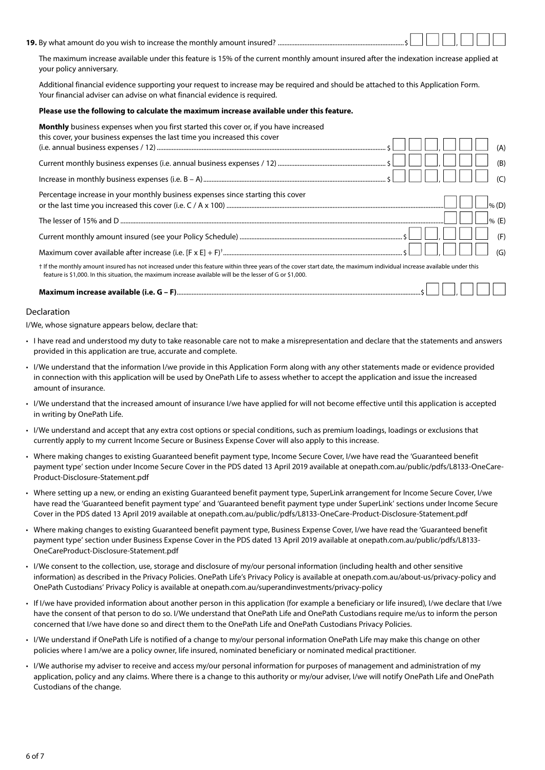#### **19.** By what amount do you wish to increase the monthly amount insured? ................

The maximum increase available under this feature is 15% of the current monthly amount insured after the indexation increase applied at your policy anniversary.

Additional financial evidence supporting your request to increase may be required and should be attached to this Application Form. Your financial adviser can advise on what financial evidence is required.

#### **Please use the following to calculate the maximum increase available under this feature.**

| <b>Monthly</b> business expenses when you first started this cover or, if you have increased<br>this cover, your business expenses the last time you increased this cover                                                                                                          |
|------------------------------------------------------------------------------------------------------------------------------------------------------------------------------------------------------------------------------------------------------------------------------------|
| (A)                                                                                                                                                                                                                                                                                |
| (B)                                                                                                                                                                                                                                                                                |
| $(\subset)$                                                                                                                                                                                                                                                                        |
| Percentage increase in your monthly business expenses since starting this cover<br>$\frac{9}{6}$ (D)                                                                                                                                                                               |
| $96$ (F)                                                                                                                                                                                                                                                                           |
| (F)                                                                                                                                                                                                                                                                                |
| (G)                                                                                                                                                                                                                                                                                |
| t If the monthly amount insured has not increased under this feature within three years of the cover start date, the maximum individual increase available under this<br>feature is \$1,000. In this situation, the maximum increase available will be the lesser of G or \$1,000. |
|                                                                                                                                                                                                                                                                                    |

## **Maximum increase available (i.e. G – F)**...................................................................................................................................................\$ n n , n n n

#### Declaration

I/We, whose signature appears below, declare that:

- I have read and understood my duty to take reasonable care not to make a misrepresentation and declare that the statements and answers provided in this application are true, accurate and complete.
- I/We understand that the information I/we provide in this Application Form along with any other statements made or evidence provided in connection with this application will be used by OnePath Life to assess whether to accept the application and issue the increased amount of insurance.
- I/We understand that the increased amount of insurance I/we have applied for will not become effective until this application is accepted in writing by OnePath Life.
- I/We understand and accept that any extra cost options or special conditions, such as premium loadings, loadings or exclusions that currently apply to my current Income Secure or Business Expense Cover will also apply to this increase.
- Where making changes to existing Guaranteed benefit payment type, Income Secure Cover, I[/we have read the 'Guaranteed benefit](http://onepath.com.au/public/pdfs/L8133-OneCare-Product-Disclosure-Statement.pdf)  [payment type' section under Incom](http://onepath.com.au/public/pdfs/L8133-OneCare-Product-Disclosure-Statement.pdf)e Secure Cover in the PDS dated 13 April 2019 available at onepath.com.au/public/pdfs/L8133-OneCare-Product-Disclosure-Statement.pdf
- Where setting up a new, or ending an existing Guaranteed benefit payment type, SuperLink arrangement for Income Secure Cover, I/we have read the 'Guaranteed benefit payment typ[e' and 'Guaranteed benefit payment type under SuperLink' sections under Incom](http://onepath.com.au/public/pdfs/L8133-OneCare-Product-Disclosure-Statement.pdf)e Secure Cover in the PDS dated 13 April 2019 available at onepath.com.au/public/pdfs/L8133-OneCare-Product-Disclosure-Statement.pdf
- Where making changes to existing Guaranteed benefit payment type, Business Expense Cover, I[/we have read the 'Guaranteed benef](http://onepath.com.au/public/pdfs/L8133-OneCareProduct-Disclosure-Statement.pdf)it [payment type' section under Business Expe](http://onepath.com.au/public/pdfs/L8133-OneCareProduct-Disclosure-Statement.pdf)nse Cover in the PDS dated 13 April 2019 available at onepath.com.au/public/pdfs/L8133- OneCareProduct-Disclosure-Statement.pdf
- I/We consent to the collection, use, storage and disclosure of my/our personal information ([including health and other sensitive](http://onepath.com.au/insurance/privacy-policy)  information) as described in the Privacy Policies. [OnePath Life's Privacy Policy is available at onepath.com](http://onepath.com.au/superandinvestments/privacy-policy).au/about-us/privacy-policy and OnePath Custodians' Privacy Policy is available at onepath.com.au/superandinvestments/privacy-policy
- If I/we have provided information about another person in this application (for example a beneficiary or life insured), I/we declare that I/we have the consent of that person to do so. I/We understand that OnePath Life and OnePath Custodians require me/us to inform the person concerned that I/we have done so and direct them to the OnePath Life and OnePath Custodians Privacy Policies.
- I/We understand if OnePath Life is notified of a change to my/our personal information OnePath Life may make this change on other policies where I am/we are a policy owner, life insured, nominated beneficiary or nominated medical practitioner.
- I/We authorise my adviser to receive and access my/our personal information for purposes of management and administration of my application, policy and any claims. Where there is a change to this authority or my/our adviser, I/we will notify OnePath Life and OnePath Custodians of the change.